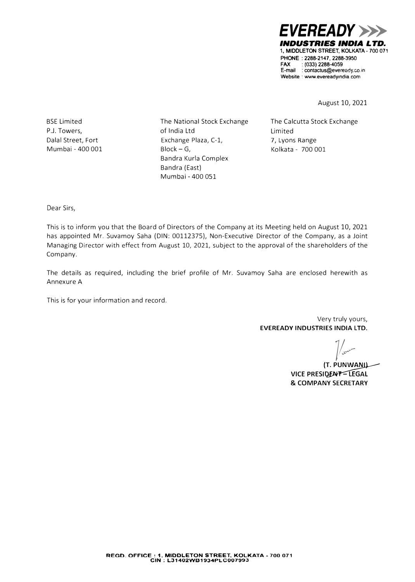*EVEREADY>>> INDUSTRIES INDIA LTD.*  **1, MIDDLETON STREET, KOLKATA · 700 071 PHONE : 2288-2147, 2288-3950 FAX : (033) 2288-4059 E-mail : contactus@evereczdy.co.in Website : www.evereadyindia.com** 

August 10, 2021

BSE Limited P.J. Towers, Dalal Street, Fort Mumbai - 400 001 The National Stock Exchange of India Ltd Exchange Plaza, C-1,  $Block - G$ , Bandra Kurla Complex Bandra (East) Mumbai - 400 051

The Calcutta Stock Exchange Limited 7, Lyons Range Kolkata - 700 001

Dear Sirs,

This is to inform you that the Board of Directors of the Company at its Meeting held on August 10, 2021 has appointed Mr. Suvamoy Saha (DIN: 00112375), Non-Executive Director of the Company, as a Joint Managing Director with effect from August 10, 2021, subject to the approval of the shareholders of the Company.

The details as required, including the brief profile of Mr. Suvamoy Saha are enclosed herewith as Annexure A

This is for your information and record.

Very truly yours, **EVEREADY INDUSTRIES INDIA LTD.** 

**de /**<br> **(T. PUNW<u>ANI</u>) VICE PRESIDENT-LEGAL & COMPANY SECRETARY**